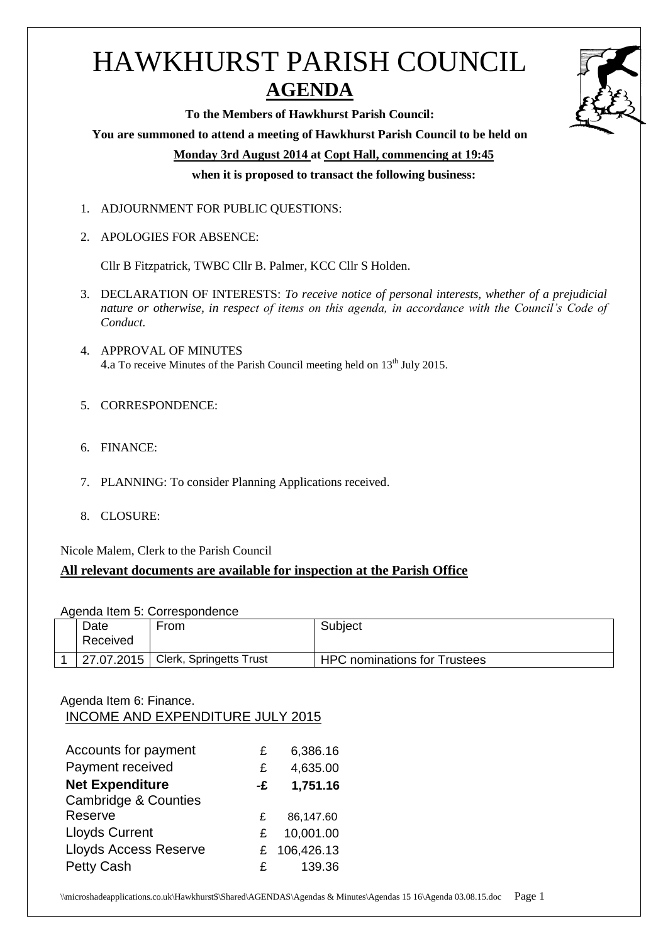# HAWKHURST PARISH COUNCIL **AGENDA**



**To the Members of Hawkhurst Parish Council:**

#### **You are summoned to attend a meeting of Hawkhurst Parish Council to be held on**

**Monday 3rd August 2014 at Copt Hall, commencing at 19:45**

**when it is proposed to transact the following business:**

- 1. ADJOURNMENT FOR PUBLIC QUESTIONS:
- 2. APOLOGIES FOR ABSENCE:

Cllr B Fitzpatrick, TWBC Cllr B. Palmer, KCC Cllr S Holden.

- 3. DECLARATION OF INTERESTS: *To receive notice of personal interests, whether of a prejudicial nature or otherwise, in respect of items on this agenda, in accordance with the Council's Code of Conduct.*
- 4. APPROVAL OF MINUTES 4.a To receive Minutes of the Parish Council meeting held on 13<sup>th</sup> July 2015.
- 5. CORRESPONDENCE:
- 6. FINANCE:
- 7. PLANNING: To consider Planning Applications received.
- 8. CLOSURE:

Nicole Malem, Clerk to the Parish Council

# **All relevant documents are available for inspection at the Parish Office**

Agenda Item 5: Correspondence

| Date<br>Received | From                                              | Subject                             |
|------------------|---------------------------------------------------|-------------------------------------|
|                  | <sup>1</sup> 27.07.2015   Clerk, Springetts Trust | <b>HPC nominations for Trustees</b> |

# Agenda Item 6: Finance. INCOME AND EXPENDITURE JULY 2015

| Accounts for payment            | £  | 6,386.16   |
|---------------------------------|----|------------|
| Payment received                | £  | 4,635.00   |
| <b>Net Expenditure</b>          | -£ | 1,751.16   |
| <b>Cambridge &amp; Counties</b> |    |            |
| Reserve                         | £  | 86,147.60  |
| <b>Lloyds Current</b>           | £  | 10,001.00  |
| <b>Lloyds Access Reserve</b>    | £. | 106,426.13 |
| <b>Petty Cash</b>               | £  | 139.36     |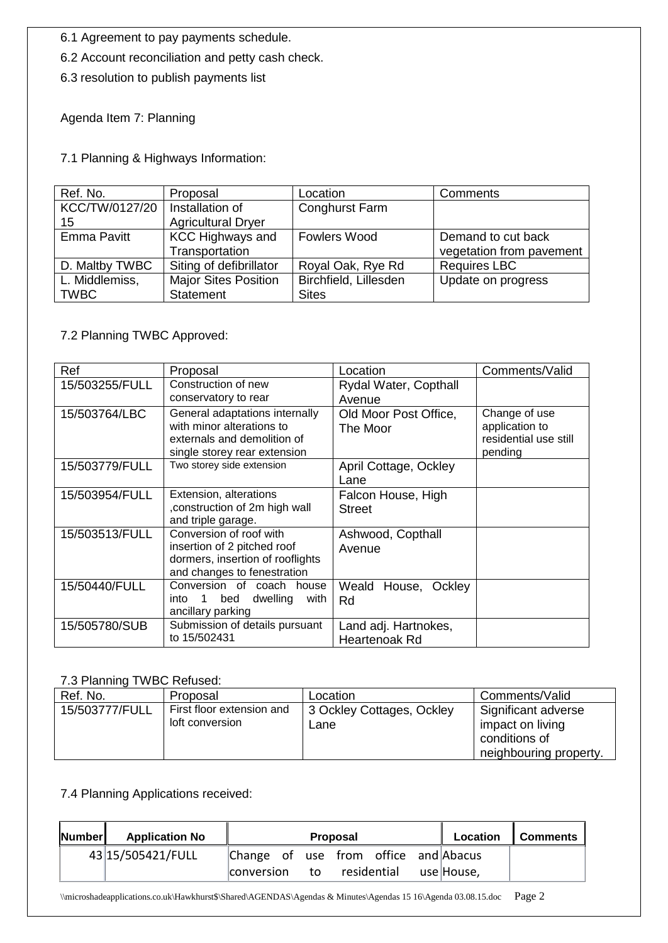6.1 Agreement to pay payments schedule.

6.2 Account reconciliation and petty cash check.

6.3 resolution to publish payments list

Agenda Item 7: Planning

7.1 Planning & Highways Information:

| Ref. No.       | Proposal                    | Location              | Comments                 |
|----------------|-----------------------------|-----------------------|--------------------------|
| KCC/TW/0127/20 | Installation of             | Conghurst Farm        |                          |
| 15             | <b>Agricultural Dryer</b>   |                       |                          |
| Emma Pavitt    | <b>KCC Highways and</b>     | <b>Fowlers Wood</b>   | Demand to cut back       |
|                | Transportation              |                       | vegetation from pavement |
| D. Maltby TWBC | Siting of defibrillator     | Royal Oak, Rye Rd     | <b>Requires LBC</b>      |
| L. Middlemiss, | <b>Major Sites Position</b> | Birchfield, Lillesden | Update on progress       |
| <b>TWBC</b>    | <b>Statement</b>            | <b>Sites</b>          |                          |

#### 7.2 Planning TWBC Approved:

| Ref            | Proposal                                                                                                                   | Location                              | Comments/Valid                                                      |
|----------------|----------------------------------------------------------------------------------------------------------------------------|---------------------------------------|---------------------------------------------------------------------|
| 15/503255/FULL | Construction of new                                                                                                        | Rydal Water, Copthall                 |                                                                     |
|                | conservatory to rear                                                                                                       | Avenue                                |                                                                     |
| 15/503764/LBC  | General adaptations internally<br>with minor alterations to<br>externals and demolition of<br>single storey rear extension | Old Moor Post Office,<br>The Moor     | Change of use<br>application to<br>residential use still<br>pending |
| 15/503779/FULL | Two storey side extension                                                                                                  | April Cottage, Ockley<br>Lane         |                                                                     |
| 15/503954/FULL | Extension, alterations<br>construction of 2m high wall<br>and triple garage.                                               | Falcon House, High<br><b>Street</b>   |                                                                     |
| 15/503513/FULL | Conversion of roof with<br>insertion of 2 pitched roof<br>dormers, insertion of rooflights<br>and changes to fenestration  | Ashwood, Copthall<br>Avenue           |                                                                     |
| 15/50440/FULL  | Conversion of coach house<br>$\overline{1}$<br>bed<br>dwelling<br>into<br>with<br>ancillary parking                        | Weald House, Ockley<br>Rd             |                                                                     |
| 15/505780/SUB  | Submission of details pursuant<br>to 15/502431                                                                             | Land adj. Hartnokes,<br>Heartenoak Rd |                                                                     |

## 7.3 Planning TWBC Refused:

| Ref. No.       | Proposal                                     | Location                          | Comments/Valid                                                                     |
|----------------|----------------------------------------------|-----------------------------------|------------------------------------------------------------------------------------|
| 15/503777/FULL | First floor extension and<br>loft conversion | 3 Ockley Cottages, Ockley<br>Lane | Significant adverse<br>impact on living<br>conditions of<br>neighbouring property. |

## 7.4 Planning Applications received:

| <b>Number</b> | <b>Application No</b> |                                      |    | <b>Proposal</b> |             | Location   | <b>Comments</b> |
|---------------|-----------------------|--------------------------------------|----|-----------------|-------------|------------|-----------------|
|               | 43 15/505421/FULL     | Change of use from office and Abacus |    |                 |             |            |                 |
|               |                       | <b>conversion</b>                    | to |                 | residential | use House, |                 |

\\microshadeapplications.co.uk\Hawkhurst\$\Shared\AGENDAS\Agendas & Minutes\Agendas 15 16\Agenda 03.08.15.doc Page 2